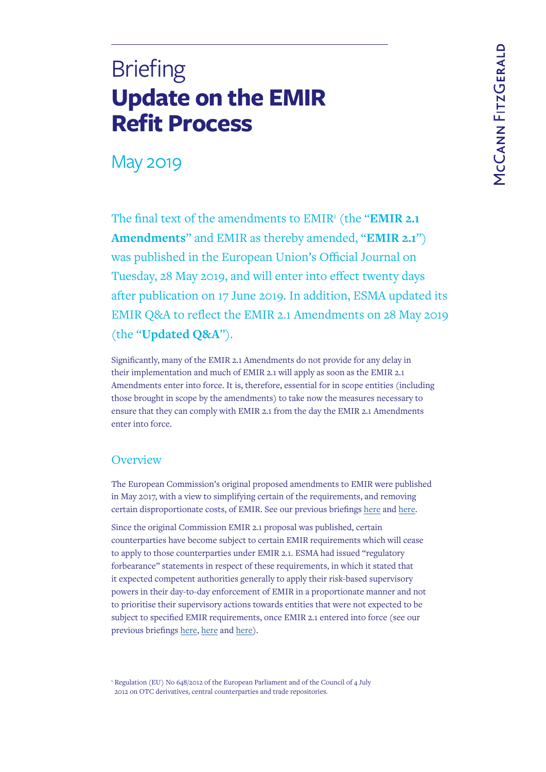# **Update on the EMIR Refit Process Briefing**

# May 2019

The final text of the amendments to EMIR<sup>1</sup> (the "EMIR 2.1 **Amendments**" and EMIR as thereby amended, "**EMIR 2.1**") was published in the European Union's Official Journal on Tuesday, 28 May 2019, and will enter into effect twenty days after publication on 17 June 2019. In addition, ESMA updated its EMIR Q&A to reflect the EMIR 2.1 Amendments on 28 May 2019 (the "**Updated Q&A**").

Significantly, many of the EMIR 2.1 Amendments do not provide for any delay in their implementation and much of EMIR 2.1 will apply as soon as the EMIR 2.1 Amendments enter into force. It is, therefore, essential for in scope entities (including those brought in scope by the amendments) to take now the measures necessary to ensure that they can comply with EMIR 2.1 from the day the EMIR 2.1 Amendments enter into force.

# **Overview**

The European Commission's original proposed amendments to EMIR were published in May 2017, with a view to simplifying certain of the requirements, and removing certain disproportionate costs, of EMIR. See our previous briefings [here](https://www.mccannfitzgerald.com/knowledge/derivatives/emir-changes) and [here.](https://www.mccannfitzgerald.com/knowledge/asset-management-and-investment-funds/next-step-for-emir-refit-proposals)

Since the original Commission EMIR 2.1 proposal was published, certain counterparties have become subject to certain EMIR requirements which will cease to apply to those counterparties under EMIR 2.1. ESMA had issued "regulatory forbearance" statements in respect of these requirements, in which it stated that it expected competent authorities generally to apply their risk-based supervisory powers in their day-to-day enforcement of EMIR in a proportionate manner and not to prioritise their supervisory actions towards entities that were not expected to be subject to specified EMIR requirements, once EMIR 2.1 entered into force (see our previous briefings [here,](https://www.mccannfitzgerald.com/knowledge/derivatives/welcome-reprieve-in-respect-of-emir-mifir-obligations) [here](https://www.mccannfitzgerald.com/knowledge/derivatives/emir-mifir-regulatory-forbearance-for-pension-scheme-arrangements) and [here](https://www.mccannfitzgerald.com/knowledge/derivatives/taking-it-easy-emir-intragroup-transactions-and-nfcs)).

<sup>1</sup> Regulation (EU) No 648/2012 of the European Parliament and of the Council of 4 July 2012 on OTC derivatives, central counterparties and trade repositories.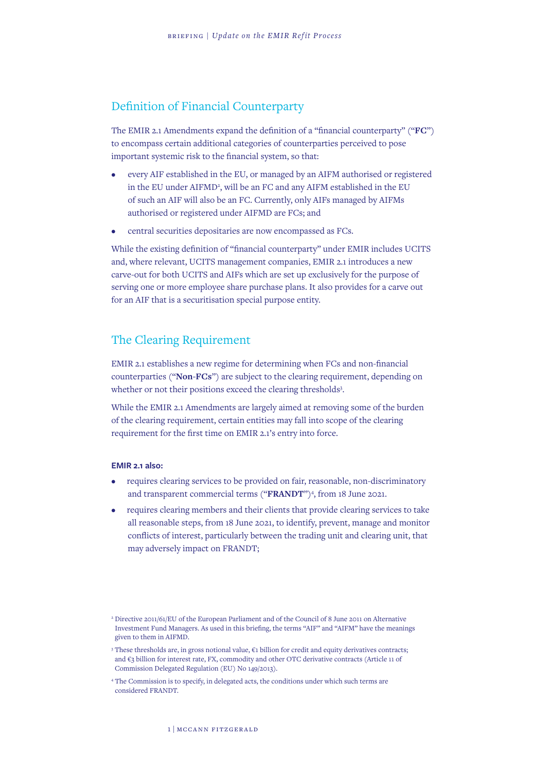# Definition of Financial Counterparty

The EMIR 2.1 Amendments expand the definition of a "financial counterparty" ("**FC**") to encompass certain additional categories of counterparties perceived to pose important systemic risk to the financial system, so that:

- every AIF established in the EU, or managed by an AIFM authorised or registered in the EU under AIFMD<sup>2</sup>, will be an FC and any AIFM established in the EU of such an AIF will also be an FC. Currently, only AIFs managed by AIFMs authorised or registered under AIFMD are FCs; and
- central securities depositaries are now encompassed as FCs.

While the existing definition of "financial counterparty" under EMIR includes UCITS and, where relevant, UCITS management companies, EMIR 2.1 introduces a new carve-out for both UCITS and AIFs which are set up exclusively for the purpose of serving one or more employee share purchase plans. It also provides for a carve out for an AIF that is a securitisation special purpose entity.

### The Clearing Requirement

EMIR 2.1 establishes a new regime for determining when FCs and non-financial counterparties ("**Non-FCs**") are subject to the clearing requirement, depending on whether or not their positions exceed the clearing thresholds<sup>3</sup>.

While the EMIR 2.1 Amendments are largely aimed at removing some of the burden of the clearing requirement, certain entities may fall into scope of the clearing requirement for the first time on EMIR 2.1's entry into force.

#### **EMIR 2.1 also:**

- requires clearing services to be provided on fair, reasonable, non-discriminatory and transparent commercial terms ("FRANDT")<sup>4</sup>, from 18 June 2021.
- requires clearing members and their clients that provide clearing services to take all reasonable steps, from 18 June 2021, to identify, prevent, manage and monitor conflicts of interest, particularly between the trading unit and clearing unit, that may adversely impact on FRANDT;

<sup>2</sup> Directive 2011/61/EU of the European Parliament and of the Council of 8 June 2011 on Alternative Investment Fund Managers. As used in this briefing, the terms "AIF" and "AIFM" have the meanings given to them in AIFMD.

<sup>3</sup> These thresholds are, in gross notional value, €1 billion for credit and equity derivatives contracts; and €3 billion for interest rate, FX, commodity and other OTC derivative contracts (Article 11 of Commission Delegated Regulation (EU) No 149/2013).

<sup>4</sup> The Commission is to specify, in delegated acts, the conditions under which such terms are considered FRANDT.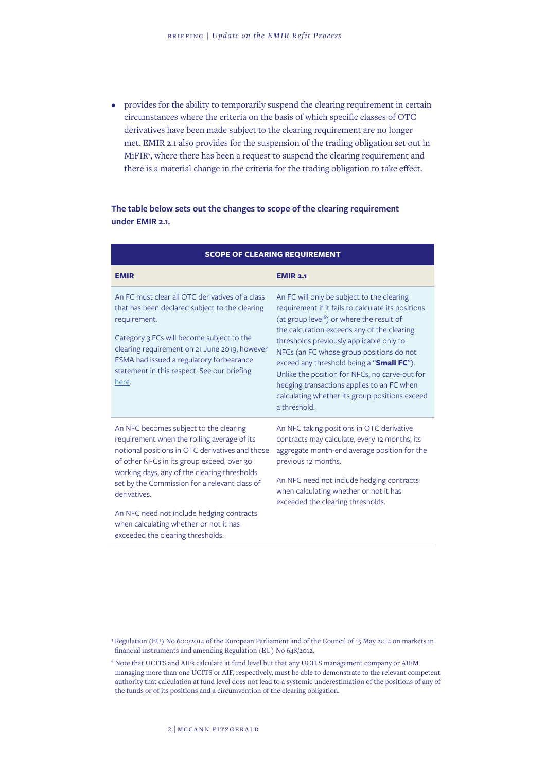• provides for the ability to temporarily suspend the clearing requirement in certain circumstances where the criteria on the basis of which specific classes of OTC derivatives have been made subject to the clearing requirement are no longer met. EMIR 2.1 also provides for the suspension of the trading obligation set out in MiFIR5 , where there has been a request to suspend the clearing requirement and there is a material change in the criteria for the trading obligation to take effect.

#### **The table below sets out the changes to scope of the clearing requirement under EMIR 2.1.**

| <b>SCOPE OF CLEARING REQUIREMENT</b>                                                                                                                                                                                                                                                                                                                                                           |                                                                                                                                                                                                                                                                                                                                                                                                                                                                                                                 |  |
|------------------------------------------------------------------------------------------------------------------------------------------------------------------------------------------------------------------------------------------------------------------------------------------------------------------------------------------------------------------------------------------------|-----------------------------------------------------------------------------------------------------------------------------------------------------------------------------------------------------------------------------------------------------------------------------------------------------------------------------------------------------------------------------------------------------------------------------------------------------------------------------------------------------------------|--|
| <b>EMIR</b>                                                                                                                                                                                                                                                                                                                                                                                    | <b>EMIR 2.1</b>                                                                                                                                                                                                                                                                                                                                                                                                                                                                                                 |  |
| An FC must clear all OTC derivatives of a class<br>that has been declared subject to the clearing<br>requirement.<br>Category 3 FCs will become subject to the<br>clearing requirement on 21 June 2019, however<br>ESMA had issued a regulatory forbearance<br>statement in this respect. See our briefing<br>here.                                                                            | An FC will only be subject to the clearing<br>requirement if it fails to calculate its positions<br>(at group level <sup>6</sup> ) or where the result of<br>the calculation exceeds any of the clearing<br>thresholds previously applicable only to<br>NFCs (an FC whose group positions do not<br>exceed any threshold being a "Small FC").<br>Unlike the position for NFCs, no carve-out for<br>hedging transactions applies to an FC when<br>calculating whether its group positions exceed<br>a threshold. |  |
| An NFC becomes subject to the clearing<br>requirement when the rolling average of its<br>notional positions in OTC derivatives and those<br>of other NFCs in its group exceed, over 30<br>working days, any of the clearing thresholds<br>set by the Commission for a relevant class of<br>derivatives.<br>An NFC need not include hedging contracts<br>when calculating whether or not it has | An NFC taking positions in OTC derivative<br>contracts may calculate, every 12 months, its<br>aggregate month-end average position for the<br>previous 12 months.<br>An NFC need not include hedging contracts<br>when calculating whether or not it has<br>exceeded the clearing thresholds.                                                                                                                                                                                                                   |  |
| exceeded the clearing thresholds.                                                                                                                                                                                                                                                                                                                                                              |                                                                                                                                                                                                                                                                                                                                                                                                                                                                                                                 |  |

<sup>5</sup> Regulation (EU) No 600/2014 of the European Parliament and of the Council of 15 May 2014 on markets in financial instruments and amending Regulation (EU) No 648/2012.

<sup>6</sup> Note that UCITS and AIFs calculate at fund level but that any UCITS management company or AIFM managing more than one UCITS or AIF, respectively, must be able to demonstrate to the relevant competent authority that calculation at fund level does not lead to a systemic underestimation of the positions of any of the funds or of its positions and a circumvention of the clearing obligation.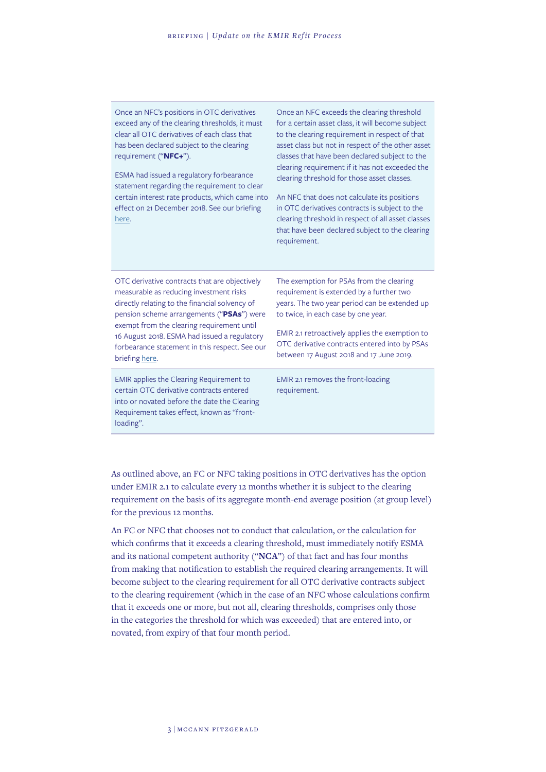Once an NFC's positions in OTC derivatives exceed any of the clearing thresholds, it must clear all OTC derivatives of each class that has been declared subject to the clearing requirement ("**NFC+**").

ESMA had issued a regulatory forbearance statement regarding the requirement to clear certain interest rate products, which came into effect on 21 December 2018. See our briefing [here.](https://www.mccannfitzgerald.com/knowledge/derivatives/taking-it-easy-emir-intragroup-transactions-and-nfcs)

Once an NFC exceeds the clearing threshold for a certain asset class, it will become subject to the clearing requirement in respect of that asset class but not in respect of the other asset classes that have been declared subject to the clearing requirement if it has not exceeded the clearing threshold for those asset classes.

An NFC that does not calculate its positions in OTC derivatives contracts is subject to the clearing threshold in respect of all asset classes that have been declared subject to the clearing requirement.

OTC derivative contracts that are objectively measurable as reducing investment risks directly relating to the financial solvency of pension scheme arrangements ("**PSAs**") were exempt from the clearing requirement until 16 August 2018. ESMA had issued a regulatory forbearance statement in this respect. See our briefing [here.](https://www.mccannfitzgerald.com/knowledge/derivatives/emir-mifir-regulatory-forbearance-for-pension-scheme-arrangements)

EMIR applies the Clearing Requirement to certain OTC derivative contracts entered into or novated before the date the Clearing Requirement takes effect, known as "frontloading".

The exemption for PSAs from the clearing requirement is extended by a further two years. The two year period can be extended up to twice, in each case by one year.

EMIR 2.1 retroactively applies the exemption to OTC derivative contracts entered into by PSAs between 17 August 2018 and 17 June 2019.

EMIR 2.1 removes the front-loading requirement.

As outlined above, an FC or NFC taking positions in OTC derivatives has the option under EMIR 2.1 to calculate every 12 months whether it is subject to the clearing requirement on the basis of its aggregate month-end average position (at group level) for the previous 12 months.

An FC or NFC that chooses not to conduct that calculation, or the calculation for which confirms that it exceeds a clearing threshold, must immediately notify ESMA and its national competent authority ("**NCA**") of that fact and has four months from making that notification to establish the required clearing arrangements. It will become subject to the clearing requirement for all OTC derivative contracts subject to the clearing requirement (which in the case of an NFC whose calculations confirm that it exceeds one or more, but not all, clearing thresholds, comprises only those in the categories the threshold for which was exceeded) that are entered into, or novated, from expiry of that four month period.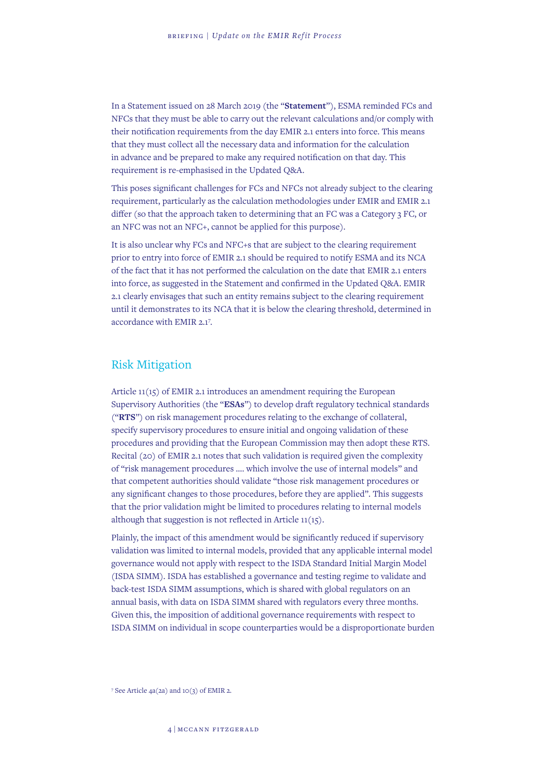In a Statement issued on 28 March 2019 (the "**Statement**"), ESMA reminded FCs and NFCs that they must be able to carry out the relevant calculations and/or comply with their notification requirements from the day EMIR 2.1 enters into force. This means that they must collect all the necessary data and information for the calculation in advance and be prepared to make any required notification on that day. This requirement is re-emphasised in the Updated Q&A.

This poses significant challenges for FCs and NFCs not already subject to the clearing requirement, particularly as the calculation methodologies under EMIR and EMIR 2.1 differ (so that the approach taken to determining that an FC was a Category 3 FC, or an NFC was not an NFC+, cannot be applied for this purpose).

It is also unclear why FCs and NFC+s that are subject to the clearing requirement prior to entry into force of EMIR 2.1 should be required to notify ESMA and its NCA of the fact that it has not performed the calculation on the date that EMIR 2.1 enters into force, as suggested in the Statement and confirmed in the Updated Q&A. EMIR 2.1 clearly envisages that such an entity remains subject to the clearing requirement until it demonstrates to its NCA that it is below the clearing threshold, determined in accordance with EMIR 2.17 .

#### Risk Mitigation

Article 11(15) of EMIR 2.1 introduces an amendment requiring the European Supervisory Authorities (the "**ESAs**") to develop draft regulatory technical standards ("**RTS**") on risk management procedures relating to the exchange of collateral, specify supervisory procedures to ensure initial and ongoing validation of these procedures and providing that the European Commission may then adopt these RTS. Recital (20) of EMIR 2.1 notes that such validation is required given the complexity of "risk management procedures …. which involve the use of internal models" and that competent authorities should validate "those risk management procedures or any significant changes to those procedures, before they are applied". This suggests that the prior validation might be limited to procedures relating to internal models although that suggestion is not reflected in Article 11(15).

Plainly, the impact of this amendment would be significantly reduced if supervisory validation was limited to internal models, provided that any applicable internal model governance would not apply with respect to the ISDA Standard Initial Margin Model (ISDA SIMM). ISDA has established a governance and testing regime to validate and back-test ISDA SIMM assumptions, which is shared with global regulators on an annual basis, with data on ISDA SIMM shared with regulators every three months. Given this, the imposition of additional governance requirements with respect to ISDA SIMM on individual in scope counterparties would be a disproportionate burden

7 See Article 4a(2a) and 10(3) of EMIR 2.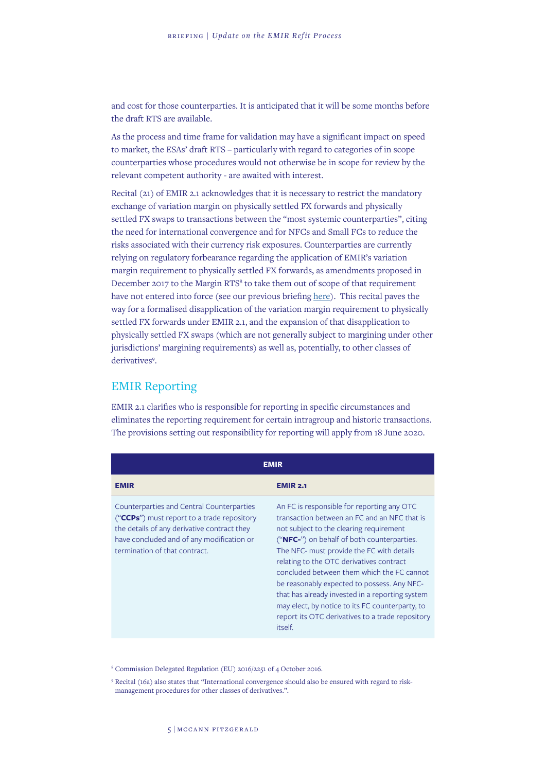and cost for those counterparties. It is anticipated that it will be some months before the draft RTS are available.

As the process and time frame for validation may have a significant impact on speed to market, the ESAs' draft RTS – particularly with regard to categories of in scope counterparties whose procedures would not otherwise be in scope for review by the relevant competent authority - are awaited with interest.

Recital (21) of EMIR 2.1 acknowledges that it is necessary to restrict the mandatory exchange of variation margin on physically settled FX forwards and physically settled FX swaps to transactions between the "most systemic counterparties", citing the need for international convergence and for NFCs and Small FCs to reduce the risks associated with their currency risk exposures. Counterparties are currently relying on regulatory forbearance regarding the application of EMIR's variation margin requirement to physically settled FX forwards, as amendments proposed in December 2017 to the Margin RTS<sup>8</sup> to take them out of scope of that requirement have not entered into force (see our previous briefing [here](https://www.mccannfitzgerald.com/knowledge/asset-management-and-investment-funds/variation-margin-exchange-for-physically-settled-ffx-forwards-last-minute)). This recital paves the way for a formalised disapplication of the variation margin requirement to physically settled FX forwards under EMIR 2.1, and the expansion of that disapplication to physically settled FX swaps (which are not generally subject to margining under other jurisdictions' margining requirements) as well as, potentially, to other classes of derivatives<sup>9</sup>.

## EMIR Reporting

EMIR 2.1 clarifies who is responsible for reporting in specific circumstances and eliminates the reporting requirement for certain intragroup and historic transactions. The provisions setting out responsibility for reporting will apply from 18 June 2020.

| EMIR                                                                                                                                                                                                                 |                                                                                                                                                                                                                                                                                                                                                                                                                                                                                                                                                |
|----------------------------------------------------------------------------------------------------------------------------------------------------------------------------------------------------------------------|------------------------------------------------------------------------------------------------------------------------------------------------------------------------------------------------------------------------------------------------------------------------------------------------------------------------------------------------------------------------------------------------------------------------------------------------------------------------------------------------------------------------------------------------|
| <b>EMIR</b>                                                                                                                                                                                                          | <b>EMIR 2.1</b>                                                                                                                                                                                                                                                                                                                                                                                                                                                                                                                                |
| Counterparties and Central Counterparties<br>("CCPs") must report to a trade repository<br>the details of any derivative contract they<br>have concluded and of any modification or<br>termination of that contract. | An FC is responsible for reporting any OTC<br>transaction between an FC and an NFC that is<br>not subject to the clearing requirement<br>("NFC-") on behalf of both counterparties.<br>The NFC- must provide the FC with details<br>relating to the OTC derivatives contract<br>concluded between them which the FC cannot<br>be reasonably expected to possess. Any NFC-<br>that has already invested in a reporting system<br>may elect, by notice to its FC counterparty, to<br>report its OTC derivatives to a trade repository<br>itself. |

8 Commission Delegated Regulation (EU) 2016/2251 of 4 October 2016.

<sup>9</sup> Recital (16a) also states that "International convergence should also be ensured with regard to riskmanagement procedures for other classes of derivatives.".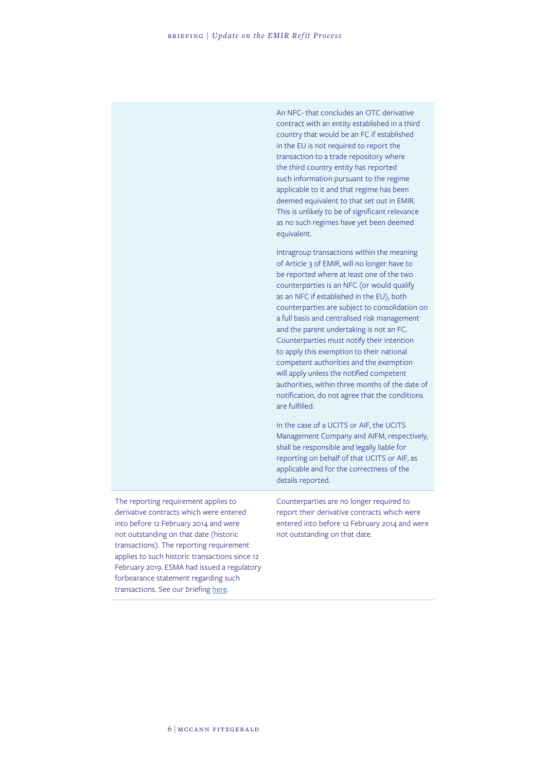An NFC- that concludes an OTC derivative contract with an entity established in a third country that would be an FC if established in the EU is not required to report the transaction to a trade repository where the third country entity has reported such information pursuant to the regime applicable to it and that regime has been deemed equivalent to that set out in EMIR. This is unlikely to be of significant relevance as no such regimes have yet been deemed equivalent.

Intragroup transactions within the meaning of Article 3 of EMIR, will no longer have to be reported where at least one of the two counterparties is an NFC (or would qualify as an NFC if established in the EU), both counterparties are subject to consolidation on a full basis and centralised risk management and the parent undertaking is not an FC. Counterparties must notify their intention to apply this exemption to their national competent authorities and the exemption will apply unless the notified competent authorities, within three months of the date of notification, do not agree that the conditions are fulfilled.

In the case of a UCITS or AIF, the UCITS Management Company and AIFM, respectively, shall be responsible and legally liable for reporting on behalf of that UCITS or AIF, as applicable and for the correctness of the details reported.

The reporting requirement applies to derivative contracts which were entered into before 12 February 2014 and were not outstanding on that date (historic transactions). The reporting requirement applies to such historic transactions since 12 February 2019. ESMA had issued a regulatory forbearance statement regarding such transactions. See our briefing [here.](https://www.mccannfitzgerald.com/knowledge/derivatives/welcome-reprieve-in-respect-of-emir-mifir-obligations)

Counterparties are no longer required to report their derivative contracts which were entered into before 12 February 2014 and were not outstanding on that date.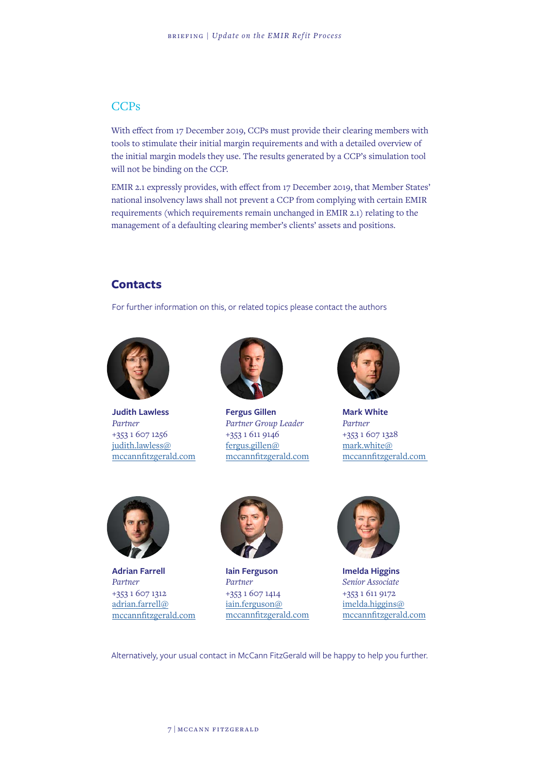#### **CCPs**

With effect from 17 December 2019, CCPs must provide their clearing members with tools to stimulate their initial margin requirements and with a detailed overview of the initial margin models they use. The results generated by a CCP's simulation tool will not be binding on the CCP.

EMIR 2.1 expressly provides, with effect from 17 December 2019, that Member States' national insolvency laws shall not prevent a CCP from complying with certain EMIR requirements (which requirements remain unchanged in EMIR 2.1) relating to the management of a defaulting clearing member's clients' assets and positions.

#### **Contacts**

For further information on this, or related topics please contact the authors



**Judith Lawless** *Partner* +353 1 607 1256 [judith.lawless@](mailto:judith.lawless%40%0Amccannfitzgerald.com?subject=) [mccannfitzgerald.com](mailto:judith.lawless%40%0Amccannfitzgerald.com?subject=)



**Fergus Gillen** *Partner Group Leader* +353 1 611 9146 [fergus.gillen@](mailto:fergus.gillen%40mccannfitzgerald.com?subject=) [mccannfitzgerald.com](mailto:fergus.gillen%40mccannfitzgerald.com?subject=)



**Mark White** *Partner* +353 1 607 1328 [mark.white@](mailto:mark.white%40%20mccannfitzgerald.com%20?subject=) [mccannfitzgerald.com](mailto:mark.white%40%20mccannfitzgerald.com%20?subject=) 



**Adrian Farrell** *Partner* +353 1 607 1312 [adrian.farrell@](mailto:adrian.farrell%40%20mccannfitzgerald.com?subject=) [mccannfitzgerald.com](mailto:adrian.farrell%40%20mccannfitzgerald.com?subject=)



**Iain Ferguson** *Partner* +353 1 607 1414 [iain.ferguson@](mailto:iain.ferguson%40mccannfitzgerald.com?subject=) [mccannfitzgerald.com](mailto:iain.ferguson%40mccannfitzgerald.com?subject=)



**Imelda Higgins** *Senior Associate* +353 1 611 9172 [imelda.higgins@](mailto:imelda.higgins%40mccannfitzgerald.com?subject=) [mccannfitzgerald.com](mailto:imelda.higgins%40mccannfitzgerald.com?subject=)

Alternatively, your usual contact in McCann FitzGerald will be happy to help you further.